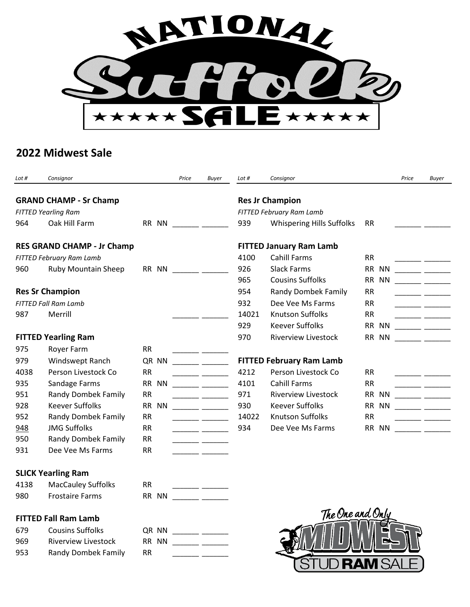

## **2022 Midwest Sale**

| Lot #                             | Consignor                     |           | Price | <b>Buyer</b>                                                                                                           | Lot #                          | Consignor                        |                        | Price | <b>Buyer</b>                                                                                                         |  |  |
|-----------------------------------|-------------------------------|-----------|-------|------------------------------------------------------------------------------------------------------------------------|--------------------------------|----------------------------------|------------------------|-------|----------------------------------------------------------------------------------------------------------------------|--|--|
|                                   | <b>GRAND CHAMP - Sr Champ</b> |           |       |                                                                                                                        |                                | <b>Res Jr Champion</b>           |                        |       |                                                                                                                      |  |  |
| <b>FITTED Yearling Ram</b>        |                               |           |       |                                                                                                                        | FITTED February Ram Lamb       |                                  |                        |       |                                                                                                                      |  |  |
| 964                               | Oak Hill Farm                 | RR NN     |       |                                                                                                                        | 939                            | <b>Whispering Hills Suffolks</b> | <b>RR</b>              |       |                                                                                                                      |  |  |
| <b>RES GRAND CHAMP - Jr Champ</b> |                               |           |       |                                                                                                                        | <b>FITTED January Ram Lamb</b> |                                  |                        |       |                                                                                                                      |  |  |
| FITTED February Ram Lamb          |                               |           |       |                                                                                                                        | 4100                           | <b>Cahill Farms</b>              | <b>RR</b>              |       | ____ ____                                                                                                            |  |  |
| 960                               | Ruby Mountain Sheep           | RR NN     |       | <u> 1999 - Jan Jawa Barat, prima prima prima prima prima prima prima prima prima prima prima prima prima prima p</u>   | 926                            | <b>Slack Farms</b>               | RR NN                  |       | <u> 1999 - Jan Barnett, politik e</u>                                                                                |  |  |
|                                   |                               |           |       |                                                                                                                        | 965                            | <b>Cousins Suffolks</b>          | <b>RR</b><br><b>NN</b> |       | <u> 1990 - Jan Barnett, francuski politik (</u>                                                                      |  |  |
| <b>Res Sr Champion</b>            |                               |           |       |                                                                                                                        | 954                            | Randy Dombek Family              | <b>RR</b>              |       |                                                                                                                      |  |  |
|                                   | <b>FITTED Fall Ram Lamb</b>   |           |       |                                                                                                                        | 932                            | Dee Vee Ms Farms                 | <b>RR</b>              |       | $\overline{\phantom{a}}$ . The contract of $\overline{\phantom{a}}$                                                  |  |  |
| 987                               | Merrill                       |           |       |                                                                                                                        | 14021                          | <b>Knutson Suffolks</b>          | <b>RR</b>              |       |                                                                                                                      |  |  |
|                                   |                               |           |       |                                                                                                                        | 929                            | <b>Keever Suffolks</b>           | <b>RR</b><br><b>NN</b> |       | <u> 1999 - Johann Barnett, politik eta politik eta politik eta politik eta politik eta politik eta politik eta p</u> |  |  |
| <b>FITTED Yearling Ram</b>        |                               |           |       |                                                                                                                        | 970                            | <b>Riverview Livestock</b>       | RR NN                  |       |                                                                                                                      |  |  |
| 975                               | Royer Farm                    | <b>RR</b> |       |                                                                                                                        |                                |                                  |                        |       |                                                                                                                      |  |  |
| 979                               | Windswept Ranch               | QR NN     |       |                                                                                                                        |                                | <b>FITTED February Ram Lamb</b>  |                        |       |                                                                                                                      |  |  |
| 4038                              | Person Livestock Co           | <b>RR</b> |       |                                                                                                                        | 4212                           | Person Livestock Co              | <b>RR</b>              |       | المستحقق المستوات                                                                                                    |  |  |
| 935                               | Sandage Farms                 | RR NN     |       |                                                                                                                        | 4101                           | <b>Cahill Farms</b>              | <b>RR</b>              |       |                                                                                                                      |  |  |
| 951                               | <b>Randy Dombek Family</b>    | <b>RR</b> |       |                                                                                                                        | 971                            | <b>Riverview Livestock</b>       | RR NN                  |       | $\overline{\phantom{a}}$ . The contract of $\overline{\phantom{a}}$                                                  |  |  |
| 928                               | <b>Keever Suffolks</b>        | RR NN     |       |                                                                                                                        | 930                            | <b>Keever Suffolks</b>           | RR NN                  |       | <u> 1999 - Jan Barnett, politik politik (</u>                                                                        |  |  |
| 952                               | Randy Dombek Family           | <b>RR</b> |       | <u> 1990 - John Harry John Harry Harry Harry Harry Harry Harry Harry Harry Harry Harry Harry Harry Harry Harry Har</u> | 14022                          | <b>Knutson Suffolks</b>          | <b>RR</b>              |       |                                                                                                                      |  |  |
| 948                               | <b>JMG Suffolks</b>           | <b>RR</b> |       | <u> 1999 - Jan Barnett, p</u>                                                                                          | 934                            | Dee Vee Ms Farms                 | RR NN                  |       | $\overline{\phantom{a}}$ . The contract of $\overline{\phantom{a}}$                                                  |  |  |
| 950                               | <b>Randy Dombek Family</b>    | <b>RR</b> |       |                                                                                                                        |                                |                                  |                        |       |                                                                                                                      |  |  |
| 931                               | Dee Vee Ms Farms              | <b>RR</b> |       |                                                                                                                        |                                |                                  |                        |       |                                                                                                                      |  |  |
|                                   | <b>SLICK Yearling Ram</b>     |           |       |                                                                                                                        |                                |                                  |                        |       |                                                                                                                      |  |  |
| 4138                              | <b>MacCauley Suffolks</b>     | <b>RR</b> |       | ____ _________                                                                                                         |                                |                                  |                        |       |                                                                                                                      |  |  |
| 980                               | <b>Frostaire Farms</b>        | RR NN     |       |                                                                                                                        |                                |                                  |                        |       |                                                                                                                      |  |  |
|                                   | <b>FITTED Fall Ram Lamb</b>   |           |       |                                                                                                                        |                                | The One and Only                 |                        |       |                                                                                                                      |  |  |
| 679                               | <b>Cousins Suffolks</b>       | QR NN     |       | $ -$                                                                                                                   |                                |                                  |                        |       |                                                                                                                      |  |  |
| 969                               | <b>Riverview Livestock</b>    | RR NN     |       |                                                                                                                        |                                |                                  |                        |       |                                                                                                                      |  |  |
| 953                               | Randy Dombek Family           | <b>RR</b> |       |                                                                                                                        |                                |                                  |                        |       |                                                                                                                      |  |  |

**JD RAM SAL** 

STI